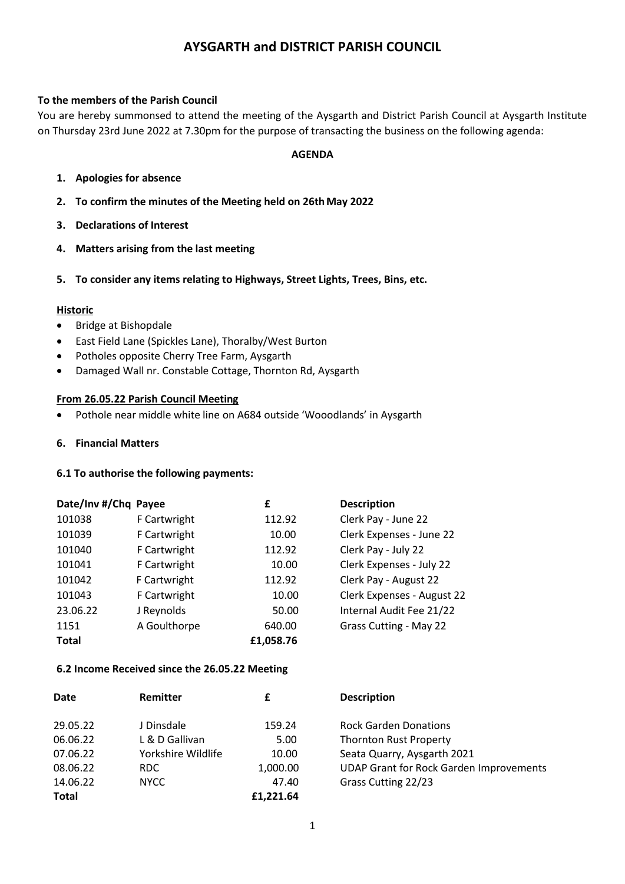# **AYSGARTH and DISTRICT PARISH COUNCIL**

## **To the members of the Parish Council**

You are hereby summonsed to attend the meeting of the Aysgarth and District Parish Council at Aysgarth Institute on Thursday 23rd June 2022 at 7.30pm for the purpose of transacting the business on the following agenda:

#### **AGENDA**

- **1. Apologies for absence**
- **2. To confirm the minutes of the Meeting held on 26thMay 2022**
- **3. Declarations of Interest**
- **4. Matters arising from the last meeting**
- **5. To consider any items relating to Highways, Street Lights, Trees, Bins, etc.**

#### **Historic**

- Bridge at Bishopdale
- East Field Lane (Spickles Lane), Thoralby/West Burton
- Potholes opposite Cherry Tree Farm, Aysgarth
- Damaged Wall nr. Constable Cottage, Thornton Rd, Aysgarth

#### **From 26.05.22 Parish Council Meeting**

- Pothole near middle white line on A684 outside 'Wooodlands' in Aysgarth
- **6. Financial Matters**

#### **6.1 To authorise the following payments:**

| Date/Inv #/Chq Payee |              | £         | <b>Description</b>            |
|----------------------|--------------|-----------|-------------------------------|
| 101038               | F Cartwright | 112.92    | Clerk Pay - June 22           |
| 101039               | F Cartwright | 10.00     | Clerk Expenses - June 22      |
| 101040               | F Cartwright | 112.92    | Clerk Pay - July 22           |
| 101041               | F Cartwright | 10.00     | Clerk Expenses - July 22      |
| 101042               | F Cartwright | 112.92    | Clerk Pay - August 22         |
| 101043               | F Cartwright | 10.00     | Clerk Expenses - August 22    |
| 23.06.22             | J Reynolds   | 50.00     | Internal Audit Fee 21/22      |
| 1151                 | A Goulthorpe | 640.00    | <b>Grass Cutting - May 22</b> |
| <b>Total</b>         |              | £1,058.76 |                               |

#### **6.2 Income Received since the 26.05.22 Meeting**

| Date     | Remitter           | £         | <b>Description</b>                             |
|----------|--------------------|-----------|------------------------------------------------|
| 29.05.22 | J Dinsdale         | 159.24    | <b>Rock Garden Donations</b>                   |
| 06.06.22 | L & D Gallivan     | 5.00      | <b>Thornton Rust Property</b>                  |
| 07.06.22 | Yorkshire Wildlife | 10.00     | Seata Quarry, Aysgarth 2021                    |
| 08.06.22 | RDC.               | 1,000.00  | <b>UDAP Grant for Rock Garden Improvements</b> |
| 14.06.22 | <b>NYCC</b>        | 47.40     | Grass Cutting 22/23                            |
| Total    |                    | £1.221.64 |                                                |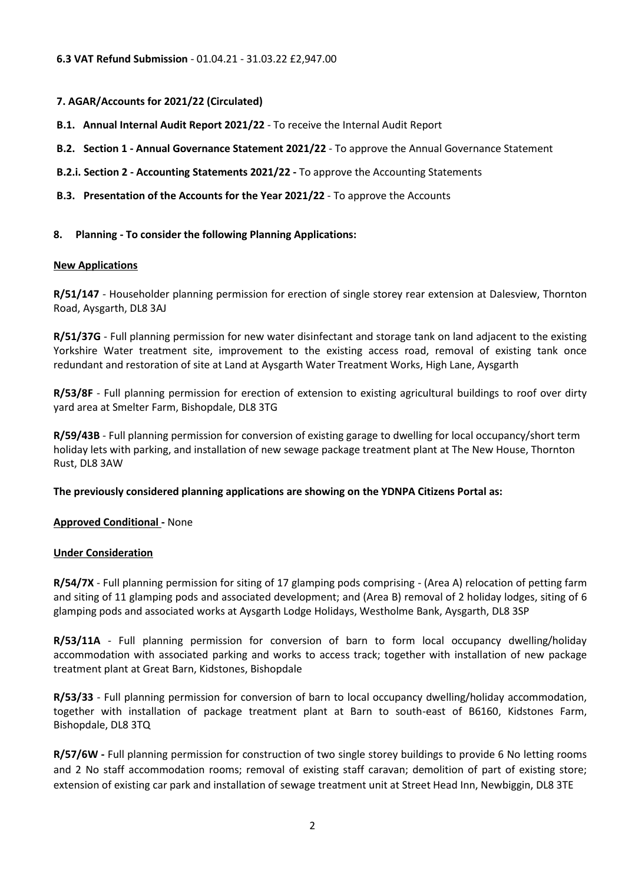# **7. AGAR/Accounts for 2021/22 (Circulated)**

- **B.1. Annual Internal Audit Report 2021/22** *-* To receive the Internal Audit Report
- **B.2. Section 1 - Annual Governance Statement 2021/22** *-* To approve the Annual Governance Statement
- **B.2.i. Section 2 - Accounting Statements 2021/22 -** To approve the Accounting Statements
- **B.3. Presentation of the Accounts for the Year 2021/22** To approve the Accounts

## **8. Planning - To consider the following Planning Applications:**

## **New Applications**

**R/51/147** - Householder planning permission for erection of single storey rear extension at Dalesview, Thornton Road, Aysgarth, DL8 3AJ

**R/51/37G** - Full planning permission for new water disinfectant and storage tank on land adjacent to the existing Yorkshire Water treatment site, improvement to the existing access road, removal of existing tank once redundant and restoration of site at Land at Aysgarth Water Treatment Works, High Lane, Aysgarth

**R/53/8F** - Full planning permission for erection of extension to existing agricultural buildings to roof over dirty yard area at Smelter Farm, Bishopdale, DL8 3TG

**R/59/43B** - Full planning permission for conversion of existing garage to dwelling for local occupancy/short term holiday lets with parking, and installation of new sewage package treatment plant at The New House, Thornton Rust, DL8 3AW

**The previously considered planning applications are showing on the YDNPA Citizens Portal as:**

## **Approved Conditional -** None

## **Under Consideration**

**R/54/7X** - Full planning permission for siting of 17 glamping pods comprising - (Area A) relocation of petting farm and siting of 11 glamping pods and associated development; and (Area B) removal of 2 holiday lodges, siting of 6 glamping pods and associated works at Aysgarth Lodge Holidays, Westholme Bank, Aysgarth, DL8 3SP

**R/53/11A** - Full planning permission for conversion of barn to form local occupancy dwelling/holiday accommodation with associated parking and works to access track; together with installation of new package treatment plant at Great Barn, Kidstones, Bishopdale

**R/53/33** - Full planning permission for conversion of barn to local occupancy dwelling/holiday accommodation, together with installation of package treatment plant at Barn to south-east of B6160, Kidstones Farm, Bishopdale, DL8 3TQ

**R/57/6W -** Full planning permission for construction of two single storey buildings to provide 6 No letting rooms and 2 No staff accommodation rooms; removal of existing staff caravan; demolition of part of existing store; extension of existing car park and installation of sewage treatment unit at Street Head Inn, Newbiggin, DL8 3TE